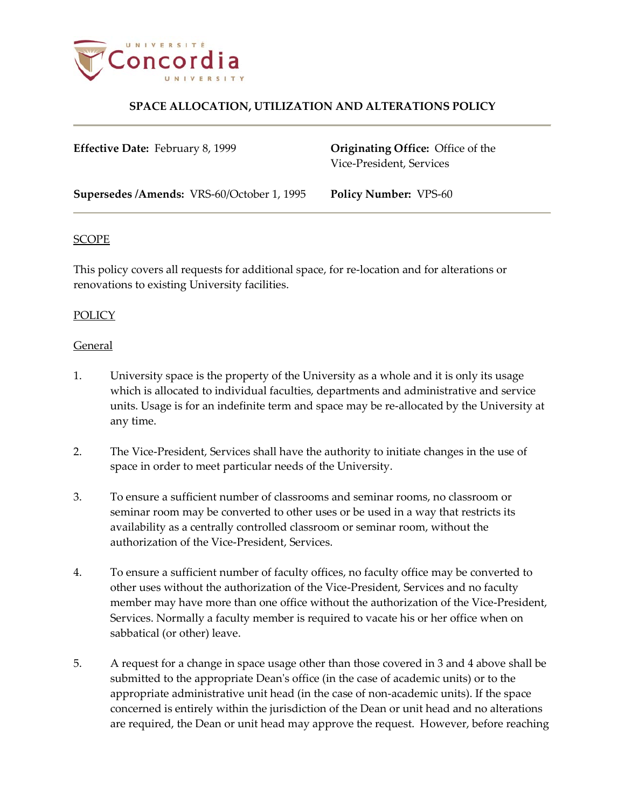

## **SPACE ALLOCATION, UTILIZATION AND ALTERATIONS POLICY**

**Effective Date:** February 8, 1999 **Originating Office:** Office of the Vice-President, Services

**Supersedes /Amends:** VRS-60/October 1, 1995 **Policy Number:** VPS-60

### SCOPE

This policy covers all requests for additional space, for re-location and for alterations or renovations to existing University facilities.

### POLICY

### **General**

- 1. University space is the property of the University as a whole and it is only its usage which is allocated to individual faculties, departments and administrative and service units. Usage is for an indefinite term and space may be re-allocated by the University at any time.
- 2. The Vice-President, Services shall have the authority to initiate changes in the use of space in order to meet particular needs of the University.
- 3. To ensure a sufficient number of classrooms and seminar rooms, no classroom or seminar room may be converted to other uses or be used in a way that restricts its availability as a centrally controlled classroom or seminar room, without the authorization of the Vice-President, Services.
- 4. To ensure a sufficient number of faculty offices, no faculty office may be converted to other uses without the authorization of the Vice-President, Services and no faculty member may have more than one office without the authorization of the Vice-President, Services. Normally a faculty member is required to vacate his or her office when on sabbatical (or other) leave.
- 5. A request for a change in space usage other than those covered in 3 and 4 above shall be submitted to the appropriate Dean's office (in the case of academic units) or to the appropriate administrative unit head (in the case of non-academic units). If the space concerned is entirely within the jurisdiction of the Dean or unit head and no alterations are required, the Dean or unit head may approve the request. However, before reaching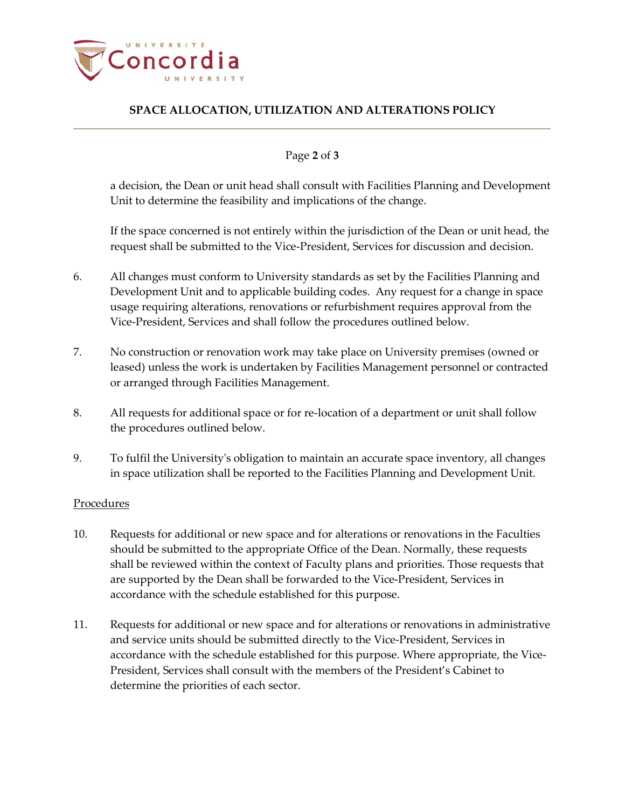

# **SPACE ALLOCATION, UTILIZATION AND ALTERATIONS POLICY**

### Page **2** of **3**

a decision, the Dean or unit head shall consult with Facilities Planning and Development Unit to determine the feasibility and implications of the change.

If the space concerned is not entirely within the jurisdiction of the Dean or unit head, the request shall be submitted to the Vice-President, Services for discussion and decision.

- 6. All changes must conform to University standards as set by the Facilities Planning and Development Unit and to applicable building codes. Any request for a change in space usage requiring alterations, renovations or refurbishment requires approval from the Vice-President, Services and shall follow the procedures outlined below.
- 7. No construction or renovation work may take place on University premises (owned or leased) unless the work is undertaken by Facilities Management personnel or contracted or arranged through Facilities Management.
- 8. All requests for additional space or for re-location of a department or unit shall follow the procedures outlined below.
- 9. To fulfil the University's obligation to maintain an accurate space inventory, all changes in space utilization shall be reported to the Facilities Planning and Development Unit.

### Procedures

- 10. Requests for additional or new space and for alterations or renovations in the Faculties should be submitted to the appropriate Office of the Dean. Normally, these requests shall be reviewed within the context of Faculty plans and priorities. Those requests that are supported by the Dean shall be forwarded to the Vice-President, Services in accordance with the schedule established for this purpose.
- 11. Requests for additional or new space and for alterations or renovations in administrative and service units should be submitted directly to the Vice-President, Services in accordance with the schedule established for this purpose. Where appropriate, the Vice-President, Services shall consult with the members of the President's Cabinet to determine the priorities of each sector.